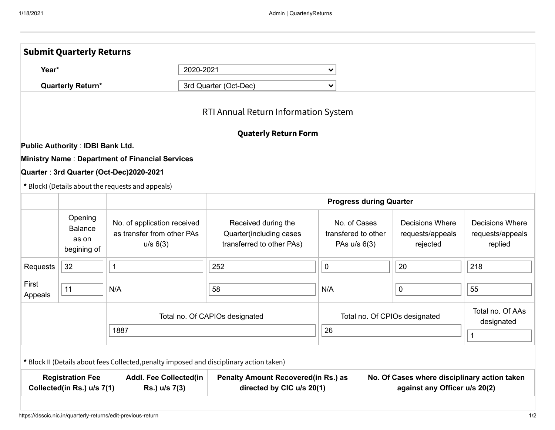|                                                                                                         | <b>Submit Quarterly Returns</b>                   |                                                                                          |                                                                             |                                                       |                                                                               |                                                        |                                                       |  |
|---------------------------------------------------------------------------------------------------------|---------------------------------------------------|------------------------------------------------------------------------------------------|-----------------------------------------------------------------------------|-------------------------------------------------------|-------------------------------------------------------------------------------|--------------------------------------------------------|-------------------------------------------------------|--|
| 2020-2021<br>Year*<br><b>Quarterly Return*</b>                                                          |                                                   |                                                                                          |                                                                             | $\checkmark$                                          |                                                                               |                                                        |                                                       |  |
|                                                                                                         |                                                   |                                                                                          | 3rd Quarter (Oct-Dec)                                                       | $\checkmark$                                          |                                                                               |                                                        |                                                       |  |
|                                                                                                         |                                                   |                                                                                          | RTI Annual Return Information System                                        |                                                       |                                                                               |                                                        |                                                       |  |
|                                                                                                         |                                                   |                                                                                          | <b>Quaterly Return Form</b>                                                 |                                                       |                                                                               |                                                        |                                                       |  |
|                                                                                                         | <b>Public Authority: IDBI Bank Ltd.</b>           |                                                                                          |                                                                             |                                                       |                                                                               |                                                        |                                                       |  |
|                                                                                                         |                                                   | <b>Ministry Name: Department of Financial Services</b>                                   |                                                                             |                                                       |                                                                               |                                                        |                                                       |  |
|                                                                                                         |                                                   | Quarter: 3rd Quarter (Oct-Dec)2020-2021                                                  |                                                                             |                                                       |                                                                               |                                                        |                                                       |  |
|                                                                                                         |                                                   | * BlockI (Details about the requests and appeals)                                        |                                                                             |                                                       |                                                                               |                                                        |                                                       |  |
|                                                                                                         |                                                   |                                                                                          |                                                                             | <b>Progress during Quarter</b>                        |                                                                               |                                                        |                                                       |  |
|                                                                                                         | Opening<br><b>Balance</b><br>as on<br>begining of | No. of application received<br>as transfer from other PAs<br>u/s 6(3)                    | Received during the<br>Quarter(including cases<br>transferred to other PAs) | No. of Cases<br>transfered to other<br>PAs $u/s$ 6(3) |                                                                               | <b>Decisions Where</b><br>requests/appeals<br>rejected | <b>Decisions Where</b><br>requests/appeals<br>replied |  |
| Requests                                                                                                | 32                                                | $\mathbf 1$                                                                              | 252                                                                         | $\pmb{0}$                                             |                                                                               | 20                                                     | 218                                                   |  |
| First<br>Appeals                                                                                        | 11                                                | N/A                                                                                      | 58                                                                          |                                                       |                                                                               | $\mathbf 0$                                            | 55                                                    |  |
|                                                                                                         |                                                   |                                                                                          | Total no. Of CAPIOs designated                                              | Total no. Of CPIOs designated                         |                                                                               |                                                        | Total no. Of AAs<br>designated                        |  |
|                                                                                                         |                                                   | 1887                                                                                     |                                                                             | 26                                                    |                                                                               |                                                        | $\mathbf{1}$                                          |  |
|                                                                                                         |                                                   | * Block II (Details about fees Collected, penalty imposed and disciplinary action taken) |                                                                             |                                                       |                                                                               |                                                        |                                                       |  |
| <b>Registration Fee</b><br><b>Addl. Fee Collected(in</b><br>Collected(in Rs.) u/s 7(1)<br>Rs.) u/s 7(3) |                                                   |                                                                                          | <b>Penalty Amount Recovered(in Rs.) as</b><br>directed by CIC u/s 20(1)     |                                                       | No. Of Cases where disciplinary action taken<br>against any Officer u/s 20(2) |                                                        |                                                       |  |